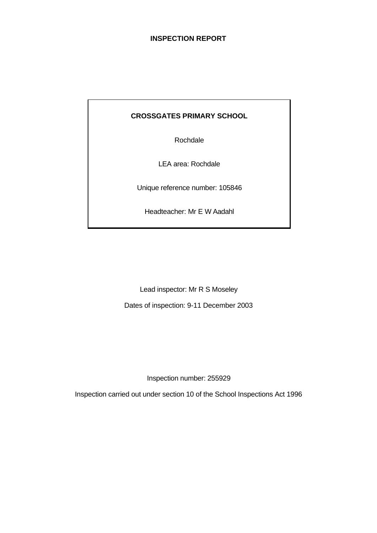# **INSPECTION REPORT**

## **CROSSGATES PRIMARY SCHOOL**

Rochdale

LEA area: Rochdale

Unique reference number: 105846

Headteacher: Mr E W Aadahl

Lead inspector: Mr R S Moseley

Dates of inspection: 9-11 December 2003

Inspection number: 255929

Inspection carried out under section 10 of the School Inspections Act 1996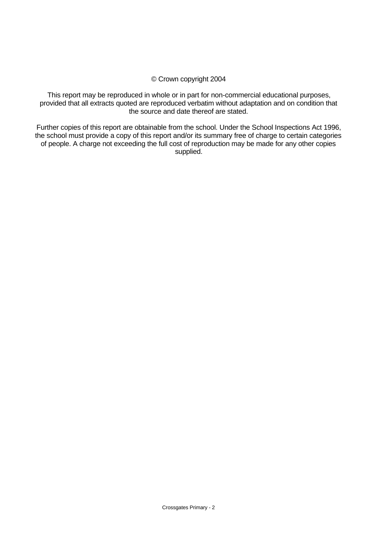## © Crown copyright 2004

This report may be reproduced in whole or in part for non-commercial educational purposes, provided that all extracts quoted are reproduced verbatim without adaptation and on condition that the source and date thereof are stated.

Further copies of this report are obtainable from the school. Under the School Inspections Act 1996, the school must provide a copy of this report and/or its summary free of charge to certain categories of people. A charge not exceeding the full cost of reproduction may be made for any other copies supplied.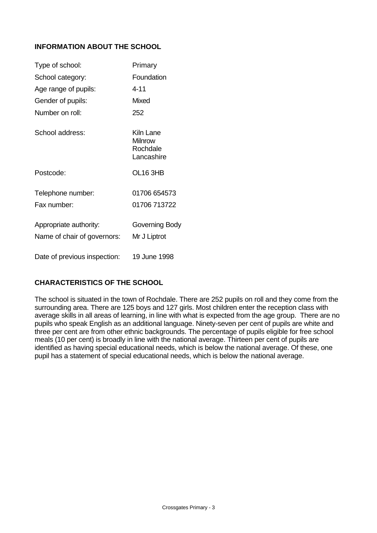## **INFORMATION ABOUT THE SCHOOL**

| Type of school:                                       | Primary                                               |
|-------------------------------------------------------|-------------------------------------------------------|
| School category:                                      | Foundation                                            |
| Age range of pupils:                                  | 4-11                                                  |
| Gender of pupils:                                     | Mixed                                                 |
| Number on roll:                                       | 252                                                   |
| School address:                                       | Kiln Lane<br><b>Milnrow</b><br>Rochdale<br>Lancashire |
| Postcode:                                             | OL16 3HB                                              |
| Telephone number:                                     | 01706 654573                                          |
| Fax number:                                           | 01706 713722                                          |
| Appropriate authority:<br>Name of chair of governors: | Governing Body<br>Mr J Liptrot                        |
| Date of previous inspection:                          | 19 June 1998                                          |

## **CHARACTERISTICS OF THE SCHOOL**

The school is situated in the town of Rochdale. There are 252 pupils on roll and they come from the surrounding area. There are 125 boys and 127 girls. Most children enter the reception class with average skills in all areas of learning, in line with what is expected from the age group. There are no pupils who speak English as an additional language. Ninety-seven per cent of pupils are white and three per cent are from other ethnic backgrounds. The percentage of pupils eligible for free school meals (10 per cent) is broadly in line with the national average. Thirteen per cent of pupils are identified as having special educational needs, which is below the national average. Of these, one pupil has a statement of special educational needs, which is below the national average.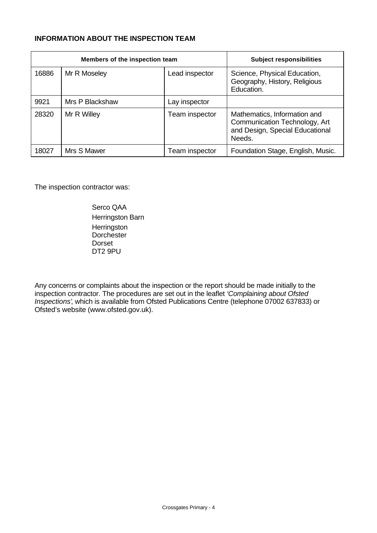## **INFORMATION ABOUT THE INSPECTION TEAM**

| Members of the inspection team |                 |                | <b>Subject responsibilities</b>                                                                            |
|--------------------------------|-----------------|----------------|------------------------------------------------------------------------------------------------------------|
| 16886                          | Mr R Moseley    | Lead inspector | Science, Physical Education,<br>Geography, History, Religious<br>Education.                                |
| 9921                           | Mrs P Blackshaw | Lay inspector  |                                                                                                            |
| 28320                          | Mr R Willey     | Team inspector | Mathematics, Information and<br>Communication Technology, Art<br>and Design, Special Educational<br>Needs. |
| 18027                          | Mrs S Mawer     | Team inspector | Foundation Stage, English, Music.                                                                          |

The inspection contractor was:

Serco QAA Herringston Barn **Herringston Dorchester** Dorset DT2 9PU

Any concerns or complaints about the inspection or the report should be made initially to the inspection contractor. The procedures are set out in the leaflet *'Complaining about Ofsted Inspections'*, which is available from Ofsted Publications Centre (telephone 07002 637833) or Ofsted's website (www.ofsted.gov.uk).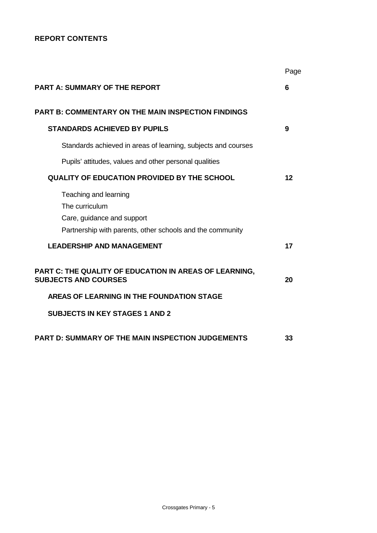## **REPORT CONTENTS**

|                                                                                                                                    | Page |
|------------------------------------------------------------------------------------------------------------------------------------|------|
| <b>PART A: SUMMARY OF THE REPORT</b>                                                                                               | 6    |
| <b>PART B: COMMENTARY ON THE MAIN INSPECTION FINDINGS</b>                                                                          |      |
| <b>STANDARDS ACHIEVED BY PUPILS</b>                                                                                                | 9    |
| Standards achieved in areas of learning, subjects and courses                                                                      |      |
| Pupils' attitudes, values and other personal qualities                                                                             |      |
| <b>QUALITY OF EDUCATION PROVIDED BY THE SCHOOL</b>                                                                                 | 12   |
| Teaching and learning<br>The curriculum<br>Care, guidance and support<br>Partnership with parents, other schools and the community |      |
| <b>LEADERSHIP AND MANAGEMENT</b>                                                                                                   | 17   |
| PART C: THE QUALITY OF EDUCATION IN AREAS OF LEARNING,<br><b>SUBJECTS AND COURSES</b>                                              | 20   |
| AREAS OF LEARNING IN THE FOUNDATION STAGE                                                                                          |      |
| <b>SUBJECTS IN KEY STAGES 1 AND 2</b>                                                                                              |      |
| <b>PART D: SUMMARY OF THE MAIN INSPECTION JUDGEMENTS</b>                                                                           | 33   |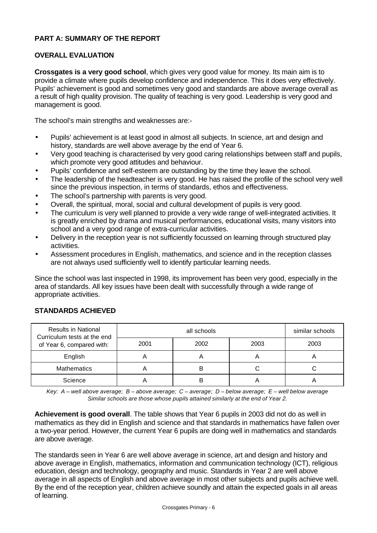## **PART A: SUMMARY OF THE REPORT**

## **OVERALL EVALUATION**

**Crossgates is a very good school**, which gives very good value for money. Its main aim is to provide a climate where pupils develop confidence and independence. This it does very effectively. Pupils' achievement is good and sometimes very good and standards are above average overall as a result of high quality provision. The quality of teaching is very good. Leadership is very good and management is good.

The school's main strengths and weaknesses are:-

- Pupils' achievement is at least good in almost all subjects. In science, art and design and history, standards are well above average by the end of Year 6.
- Very good teaching is characterised by very good caring relationships between staff and pupils, which promote very good attitudes and behaviour.
- Pupils' confidence and self-esteem are outstanding by the time they leave the school.
- The leadership of the headteacher is very good. He has raised the profile of the school very well since the previous inspection, in terms of standards, ethos and effectiveness.
- The school's partnership with parents is very good.
- Overall, the spiritual, moral, social and cultural development of pupils is very good.
- The curriculum is very well planned to provide a very wide range of well-integrated activities. It is greatly enriched by drama and musical performances, educational visits, many visitors into school and a very good range of extra-curricular activities.
- Delivery in the reception year is not sufficiently focussed on learning through structured play activities.
- Assessment procedures in English, mathematics, and science and in the reception classes are not always used sufficiently well to identify particular learning needs.

Since the school was last inspected in 1998, its improvement has been very good, especially in the area of standards. All key issues have been dealt with successfully through a wide range of appropriate activities.

| <b>Results in National</b><br>Curriculum tests at the end<br>of Year 6, compared with: |      | similar schools |          |      |
|----------------------------------------------------------------------------------------|------|-----------------|----------|------|
|                                                                                        | 2001 | 2002            | 2003     | 2003 |
| English                                                                                |      |                 | <u>r</u> |      |
| <b>Mathematics</b>                                                                     |      | B               |          |      |
| Science                                                                                |      | B               |          |      |

## **STANDARDS ACHIEVED**

*Key: A – well above average; B – above average; C – average; D – below average; E – well below average Similar schools are those whose pupils attained similarly at the end of Year 2.*

**Achievement is good overall**. The table shows that Year 6 pupils in 2003 did not do as well in mathematics as they did in English and science and that standards in mathematics have fallen over a two-year period. However, the current Year 6 pupils are doing well in mathematics and standards are above average.

The standards seen in Year 6 are well above average in science, art and design and history and above average in English, mathematics, information and communication technology (ICT), religious education, design and technology, geography and music. Standards in Year 2 are well above average in all aspects of English and above average in most other subjects and pupils achieve well. By the end of the reception year, children achieve soundly and attain the expected goals in all areas of learning.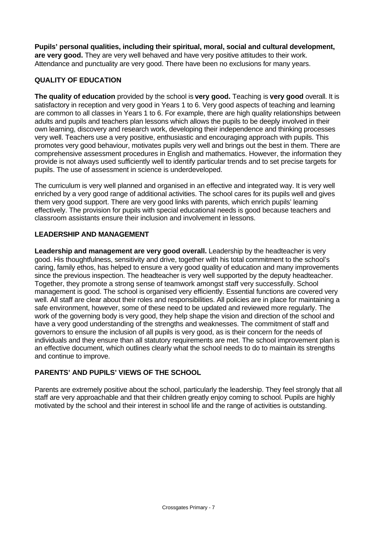**Pupils' personal qualities, including their spiritual, moral, social and cultural development, are very good.** They are very well behaved and have very positive attitudes to their work. Attendance and punctuality are very good. There have been no exclusions for many years.

## **QUALITY OF EDUCATION**

**The quality of education** provided by the school is **very good.** Teaching is **very good** overall. It is satisfactory in reception and very good in Years 1 to 6. Very good aspects of teaching and learning are common to all classes in Years 1 to 6. For example, there are high quality relationships between adults and pupils and teachers plan lessons which allows the pupils to be deeply involved in their own learning, discovery and research work, developing their independence and thinking processes very well. Teachers use a very positive, enthusiastic and encouraging approach with pupils. This promotes very good behaviour, motivates pupils very well and brings out the best in them. There are comprehensive assessment procedures in English and mathematics. However, the information they provide is not always used sufficiently well to identify particular trends and to set precise targets for pupils. The use of assessment in science is underdeveloped.

The curriculum is very well planned and organised in an effective and integrated way. It is very well enriched by a very good range of additional activities. The school cares for its pupils well and gives them very good support. There are very good links with parents, which enrich pupils' learning effectively. The provision for pupils with special educational needs is good because teachers and classroom assistants ensure their inclusion and involvement in lessons.

## **LEADERSHIP AND MANAGEMENT**

**Leadership and management are very good overall.** Leadership by the headteacher is very good. His thoughtfulness, sensitivity and drive, together with his total commitment to the school's caring, family ethos, has helped to ensure a very good quality of education and many improvements since the previous inspection. The headteacher is very well supported by the deputy headteacher. Together, they promote a strong sense of teamwork amongst staff very successfully. School management is good. The school is organised very efficiently. Essential functions are covered very well. All staff are clear about their roles and responsibilities. All policies are in place for maintaining a safe environment, however, some of these need to be updated and reviewed more regularly. The work of the governing body is very good, they help shape the vision and direction of the school and have a very good understanding of the strengths and weaknesses. The commitment of staff and governors to ensure the inclusion of all pupils is very good, as is their concern for the needs of individuals and they ensure than all statutory requirements are met. The school improvement plan is an effective document, which outlines clearly what the school needs to do to maintain its strengths and continue to improve.

## **PARENTS' AND PUPILS' VIEWS OF THE SCHOOL**

Parents are extremely positive about the school, particularly the leadership. They feel strongly that all staff are very approachable and that their children greatly enjoy coming to school. Pupils are highly motivated by the school and their interest in school life and the range of activities is outstanding.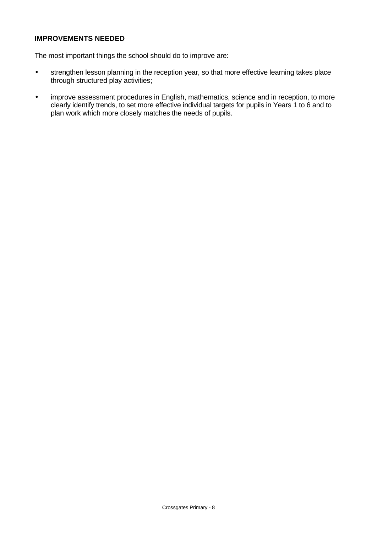## **IMPROVEMENTS NEEDED**

The most important things the school should do to improve are:

- strengthen lesson planning in the reception year, so that more effective learning takes place through structured play activities;
- improve assessment procedures in English, mathematics, science and in reception, to more clearly identify trends, to set more effective individual targets for pupils in Years 1 to 6 and to plan work which more closely matches the needs of pupils.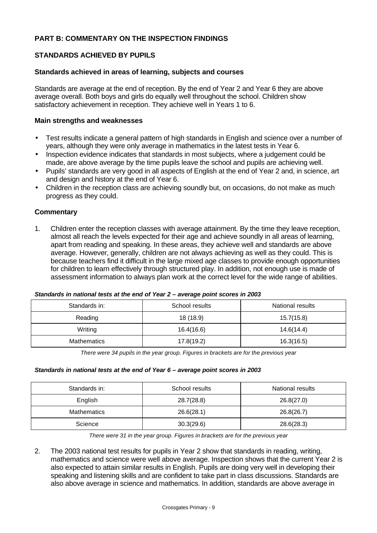## **PART B: COMMENTARY ON THE INSPECTION FINDINGS**

## **STANDARDS ACHIEVED BY PUPILS**

### **Standards achieved in areas of learning, subjects and courses**

Standards are average at the end of reception. By the end of Year 2 and Year 6 they are above average overall. Both boys and girls do equally well throughout the school. Children show satisfactory achievement in reception. They achieve well in Years 1 to 6.

### **Main strengths and weaknesses**

- Test results indicate a general pattern of high standards in English and science over a number of years, although they were only average in mathematics in the latest tests in Year 6.
- Inspection evidence indicates that standards in most subjects, where a judgement could be made, are above average by the time pupils leave the school and pupils are achieving well.
- Pupils' standards are very good in all aspects of English at the end of Year 2 and, in science, art and design and history at the end of Year 6.
- Children in the reception class are achieving soundly but, on occasions, do not make as much progress as they could.

### **Commentary**

1. Children enter the reception classes with average attainment. By the time they leave reception, almost all reach the levels expected for their age and achieve soundly in all areas of learning, apart from reading and speaking. In these areas, they achieve well and standards are above average. However, generally, children are not always achieving as well as they could. This is because teachers find it difficult in the large mixed age classes to provide enough opportunities for children to learn effectively through structured play. In addition, not enough use is made of assessment information to always plan work at the correct level for the wide range of abilities.

| Standards in:      | School results | National results |
|--------------------|----------------|------------------|
| Reading            | 18 (18.9)      | 15.7(15.8)       |
| Writing            | 16.4(16.6)     | 14.6(14.4)       |
| <b>Mathematics</b> | 17.8(19.2)     | 16.3(16.5)       |

#### *Standards in national tests at the end of Year 2 – average point scores in 2003*

*There were 34 pupils in the year group. Figures in brackets are for the previous year*

#### *Standards in national tests at the end of Year 6 – average point scores in 2003*

| Standards in:      | School results | National results |
|--------------------|----------------|------------------|
| English            | 28.7(28.8)     | 26.8(27.0)       |
| <b>Mathematics</b> | 26.6(28.1)     | 26.8(26.7)       |
| Science            | 30.3(29.6)     | 28.6(28.3)       |

*There were 31 in the year group. Figures in brackets are for the previous year*

2. The 2003 national test results for pupils in Year 2 show that standards in reading, writing, mathematics and science were well above average. Inspection shows that the current Year 2 is also expected to attain similar results in English. Pupils are doing very well in developing their speaking and listening skills and are confident to take part in class discussions. Standards are also above average in science and mathematics. In addition, standards are above average in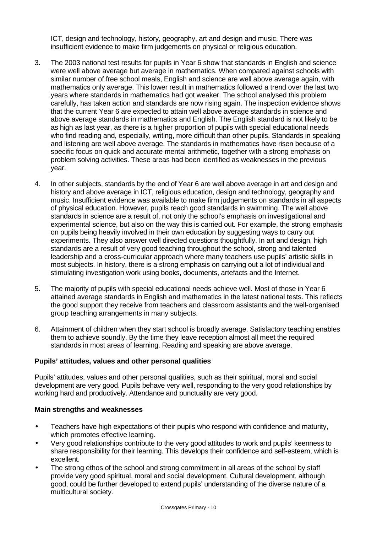ICT, design and technology, history, geography, art and design and music. There was insufficient evidence to make firm judgements on physical or religious education.

- 3. The 2003 national test results for pupils in Year 6 show that standards in English and science were well above average but average in mathematics. When compared against schools with similar number of free school meals, English and science are well above average again, with mathematics only average. This lower result in mathematics followed a trend over the last two years where standards in mathematics had got weaker. The school analysed this problem carefully, has taken action and standards are now rising again. The inspection evidence shows that the current Year 6 are expected to attain well above average standards in science and above average standards in mathematics and English. The English standard is not likely to be as high as last year, as there is a higher proportion of pupils with special educational needs who find reading and, especially, writing, more difficult than other pupils. Standards in speaking and listening are well above average. The standards in mathematics have risen because of a specific focus on quick and accurate mental arithmetic, together with a strong emphasis on problem solving activities. These areas had been identified as weaknesses in the previous year.
- 4. In other subjects, standards by the end of Year 6 are well above average in art and design and history and above average in ICT, religious education, design and technology, geography and music. Insufficient evidence was available to make firm judgements on standards in all aspects of physical education. However, pupils reach good standards in swimming. The well above standards in science are a result of, not only the school's emphasis on investigational and experimental science, but also on the way this is carried out. For example, the strong emphasis on pupils being heavily involved in their own education by suggesting ways to carry out experiments. They also answer well directed questions thoughtfully. In art and design, high standards are a result of very good teaching throughout the school, strong and talented leadership and a cross-curricular approach where many teachers use pupils' artistic skills in most subjects. In history, there is a strong emphasis on carrying out a lot of individual and stimulating investigation work using books, documents, artefacts and the Internet.
- 5. The majority of pupils with special educational needs achieve well. Most of those in Year 6 attained average standards in English and mathematics in the latest national tests. This reflects the good support they receive from teachers and classroom assistants and the well-organised group teaching arrangements in many subjects.
- 6. Attainment of children when they start school is broadly average. Satisfactory teaching enables them to achieve soundly. By the time they leave reception almost all meet the required standards in most areas of learning. Reading and speaking are above average.

## **Pupils' attitudes, values and other personal qualities**

Pupils' attitudes, values and other personal qualities, such as their spiritual, moral and social development are very good. Pupils behave very well, responding to the very good relationships by working hard and productively. Attendance and punctuality are very good.

#### **Main strengths and weaknesses**

- Teachers have high expectations of their pupils who respond with confidence and maturity, which promotes effective learning.
- Very good relationships contribute to the very good attitudes to work and pupils' keenness to share responsibility for their learning. This develops their confidence and self-esteem, which is excellent.
- The strong ethos of the school and strong commitment in all areas of the school by staff provide very good spiritual, moral and social development. Cultural development, although good, could be further developed to extend pupils' understanding of the diverse nature of a multicultural society.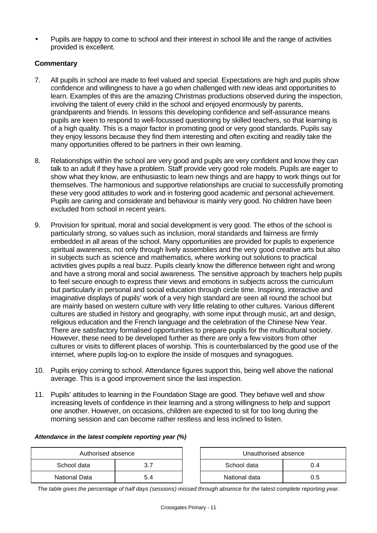• Pupils are happy to come to school and their interest in school life and the range of activities provided is excellent.

## **Commentary**

- 7. All pupils in school are made to feel valued and special. Expectations are high and pupils show confidence and willingness to have a go when challenged with new ideas and opportunities to learn. Examples of this are the amazing Christmas productions observed during the inspection, involving the talent of every child in the school and enjoyed enormously by parents, grandparents and friends. In lessons this developing confidence and self-assurance means pupils are keen to respond to well-focussed questioning by skilled teachers, so that learning is of a high quality. This is a major factor in promoting good or very good standards. Pupils say they enjoy lessons because they find them interesting and often exciting and readily take the many opportunities offered to be partners in their own learning.
- 8. Relationships within the school are very good and pupils are very confident and know they can talk to an adult if they have a problem. Staff provide very good role models. Pupils are eager to show what they know, are enthusiastic to learn new things and are happy to work things out for themselves. The harmonious and supportive relationships are crucial to successfully promoting these very good attitudes to work and in fostering good academic and personal achievement. Pupils are caring and considerate and behaviour is mainly very good. No children have been excluded from school in recent years.
- 9. Provision for spiritual, moral and social development is very good. The ethos of the school is particularly strong, so values such as inclusion, moral standards and fairness are firmly embedded in all areas of the school. Many opportunities are provided for pupils to experience spiritual awareness, not only through lively assemblies and the very good creative arts but also in subjects such as science and mathematics, where working out solutions to practical activities gives pupils a real buzz. Pupils clearly know the difference between right and wrong and have a strong moral and social awareness. The sensitive approach by teachers help pupils to feel secure enough to express their views and emotions in subjects across the curriculum but particularly in personal and social education through circle time. Inspiring, interactive and imaginative displays of pupils' work of a very high standard are seen all round the school but are mainly based on western culture with very little relating to other cultures. Various different cultures are studied in history and geography, with some input through music, art and design, religious education and the French language and the celebration of the Chinese New Year. There are satisfactory formalised opportunities to prepare pupils for the multicultural society. However, these need to be developed further as there are only a few visitors from other cultures or visits to different places of worship. This is counterbalanced by the good use of the internet, where pupils log-on to explore the inside of mosques and synagogues.
- 10. Pupils enjoy coming to school. Attendance figures support this, being well above the national average. This is a good improvement since the last inspection.
- 11. Pupils' attitudes to learning in the Foundation Stage are good. They behave well and show increasing levels of confidence in their learning and a strong willingness to help and support one another. However, on occasions, children are expected to sit for too long during the morning session and can become rather restless and less inclined to listen.

#### *Attendance in the latest complete reporting year (%)*

| Authorised absence |  | Unauthorised absence |     |
|--------------------|--|----------------------|-----|
| School data        |  | School data          | J.4 |
| National Data      |  | National data        | 0.5 |

*The table gives the percentage of half days (sessions) missed through absence for the latest complete reporting year.*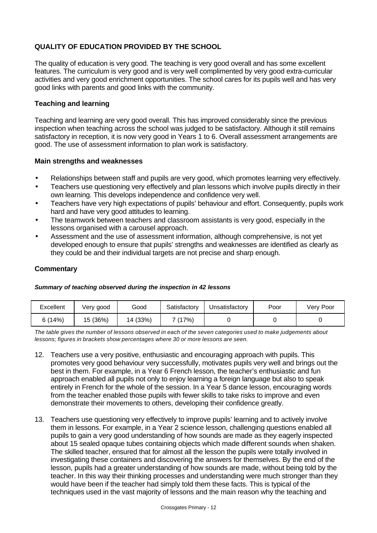# **QUALITY OF EDUCATION PROVIDED BY THE SCHOOL**

The quality of education is very good. The teaching is very good overall and has some excellent features. The curriculum is very good and is very well complimented by very good extra-curricular activities and very good enrichment opportunities. The school cares for its pupils well and has very good links with parents and good links with the community.

## **Teaching and learning**

Teaching and learning are very good overall. This has improved considerably since the previous inspection when teaching across the school was judged to be satisfactory. Although it still remains satisfactory in reception, it is now very good in Years 1 to 6. Overall assessment arrangements are good. The use of assessment information to plan work is satisfactory.

## **Main strengths and weaknesses**

- Relationships between staff and pupils are very good, which promotes learning very effectively.
- Teachers use questioning very effectively and plan lessons which involve pupils directly in their own learning. This develops independence and confidence very well.
- Teachers have very high expectations of pupils' behaviour and effort. Consequently, pupils work hard and have very good attitudes to learning.
- The teamwork between teachers and classroom assistants is very good, especially in the lessons organised with a carousel approach.
- Assessment and the use of assessment information, although comprehensive, is not yet developed enough to ensure that pupils' strengths and weaknesses are identified as clearly as they could be and their individual targets are not precise and sharp enough.

## **Commentary**

#### *Summary of teaching observed during the inspection in 42 lessons*

| Excellent | very good | Good     | Satisfactory | Unsatisfactorv | Poor | Very Poor |
|-----------|-----------|----------|--------------|----------------|------|-----------|
| 6(14%)    | 15 (36%)  | 14 (33%) | 7 (17%)      |                |      |           |

*The table gives the number of lessons observed in each of the seven categories used to make judgements about lessons; figures in brackets show percentages where 30 or more lessons are seen.*

- 12. Teachers use a very positive, enthusiastic and encouraging approach with pupils. This promotes very good behaviour very successfully, motivates pupils very well and brings out the best in them. For example, in a Year 6 French lesson, the teacher's enthusiastic and fun approach enabled all pupils not only to enjoy learning a foreign language but also to speak entirely in French for the whole of the session. In a Year 5 dance lesson, encouraging words from the teacher enabled those pupils with fewer skills to take risks to improve and even demonstrate their movements to others, developing their confidence greatly.
- 13. Teachers use questioning very effectively to improve pupils' learning and to actively involve them in lessons. For example, in a Year 2 science lesson, challenging questions enabled all pupils to gain a very good understanding of how sounds are made as they eagerly inspected about 15 sealed opaque tubes containing objects which made different sounds when shaken. The skilled teacher, ensured that for almost all the lesson the pupils were totally involved in investigating these containers and discovering the answers for themselves. By the end of the lesson, pupils had a greater understanding of how sounds are made, without being told by the teacher. In this way their thinking processes and understanding were much stronger than they would have been if the teacher had simply told them these facts. This is typical of the techniques used in the vast majority of lessons and the main reason why the teaching and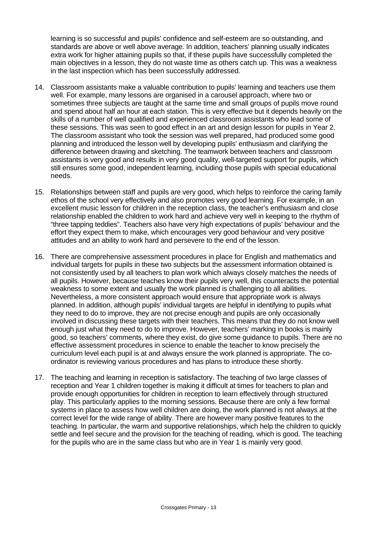learning is so successful and pupils' confidence and self-esteem are so outstanding, and standards are above or well above average. In addition, teachers' planning usually indicates extra work for higher attaining pupils so that, if these pupils have successfully completed the main objectives in a lesson, they do not waste time as others catch up. This was a weakness in the last inspection which has been successfully addressed.

- 14. Classroom assistants make a valuable contribution to pupils' learning and teachers use them well. For example, many lessons are organised in a carousel approach, where two or sometimes three subjects are taught at the same time and small groups of pupils move round and spend about half an hour at each station. This is very effective but it depends heavily on the skills of a number of well qualified and experienced classroom assistants who lead some of these sessions. This was seen to good effect in an art and design lesson for pupils in Year 2. The classroom assistant who took the session was well prepared, had produced some good planning and introduced the lesson well by developing pupils' enthusiasm and clarifying the difference between drawing and sketching. The teamwork between teachers and classroom assistants is very good and results in very good quality, well-targeted support for pupils, which still ensures some good, independent learning, including those pupils with special educational needs.
- 15. Relationships between staff and pupils are very good, which helps to reinforce the caring family ethos of the school very effectively and also promotes very good learning. For example, in an excellent music lesson for children in the reception class, the teacher's enthusiasm and close relationship enabled the children to work hard and achieve very well in keeping to the rhythm of "three tapping teddies". Teachers also have very high expectations of pupils' behaviour and the effort they expect them to make, which encourages very good behaviour and very positive attitudes and an ability to work hard and persevere to the end of the lesson.
- 16. There are comprehensive assessment procedures in place for English and mathematics and individual targets for pupils in these two subjects but the assessment information obtained is not consistently used by all teachers to plan work which always closely matches the needs of all pupils. However, because teaches know their pupils very well, this counteracts the potential weakness to some extent and usually the work planned is challenging to all abilities. Nevertheless, a more consistent approach would ensure that appropriate work is always planned. In addition, although pupils' individual targets are helpful in identifying to pupils what they need to do to improve, they are not precise enough and pupils are only occasionally involved in discussing these targets with their teachers. This means that they do not know well enough just what they need to do to improve. However, teachers' marking in books is mainly good, so teachers' comments, where they exist, do give some guidance to pupils. There are no effective assessment procedures in science to enable the teacher to know precisely the curriculum level each pupil is at and always ensure the work planned is appropriate. The coordinator is reviewing various procedures and has plans to introduce these shortly.
- 17. The teaching and learning in reception is satisfactory. The teaching of two large classes of reception and Year 1 children together is making it difficult at times for teachers to plan and provide enough opportunities for children in reception to learn effectively through structured play. This particularly applies to the morning sessions. Because there are only a few formal systems in place to assess how well children are doing, the work planned is not always at the correct level for the wide range of ability. There are however many positive features to the teaching. In particular, the warm and supportive relationships, which help the children to quickly settle and feel secure and the provision for the teaching of reading, which is good. The teaching for the pupils who are in the same class but who are in Year 1 is mainly very good.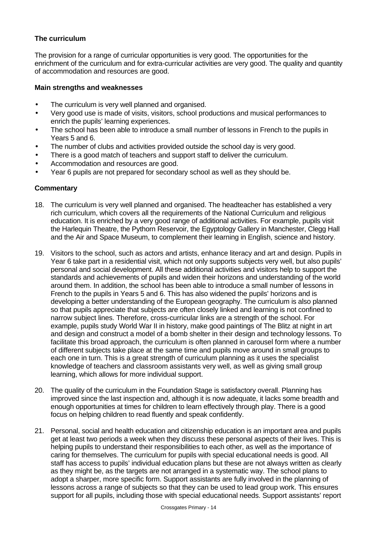## **The curriculum**

The provision for a range of curricular opportunities is very good. The opportunities for the enrichment of the curriculum and for extra-curricular activities are very good. The quality and quantity of accommodation and resources are good.

## **Main strengths and weaknesses**

- The curriculum is very well planned and organised.
- Very good use is made of visits, visitors, school productions and musical performances to enrich the pupils' learning experiences.
- The school has been able to introduce a small number of lessons in French to the pupils in Years 5 and 6.
- The number of clubs and activities provided outside the school day is very good.
- There is a good match of teachers and support staff to deliver the curriculum.
- Accommodation and resources are good.
- Year 6 pupils are not prepared for secondary school as well as they should be.

- 18. The curriculum is very well planned and organised. The headteacher has established a very rich curriculum, which covers all the requirements of the National Curriculum and religious education. It is enriched by a very good range of additional activities. For example, pupils visit the Harlequin Theatre, the Pythorn Reservoir, the Egyptology Gallery in Manchester, Clegg Hall and the Air and Space Museum, to complement their learning in English, science and history.
- 19. Visitors to the school, such as actors and artists, enhance literacy and art and design. Pupils in Year 6 take part in a residential visit, which not only supports subjects very well, but also pupils' personal and social development. All these additional activities and visitors help to support the standards and achievements of pupils and widen their horizons and understanding of the world around them. In addition, the school has been able to introduce a small number of lessons in French to the pupils in Years 5 and 6. This has also widened the pupils' horizons and is developing a better understanding of the European geography. The curriculum is also planned so that pupils appreciate that subjects are often closely linked and learning is not confined to narrow subject lines. Therefore, cross-curricular links are a strength of the school. For example, pupils study World War II in history, make good paintings of The Blitz at night in art and design and construct a model of a bomb shelter in their design and technology lessons. To facilitate this broad approach, the curriculum is often planned in carousel form where a number of different subjects take place at the same time and pupils move around in small groups to each one in turn. This is a great strength of curriculum planning as it uses the specialist knowledge of teachers and classroom assistants very well, as well as giving small group learning, which allows for more individual support.
- 20. The quality of the curriculum in the Foundation Stage is satisfactory overall. Planning has improved since the last inspection and, although it is now adequate, it lacks some breadth and enough opportunities at times for children to learn effectively through play. There is a good focus on helping children to read fluently and speak confidently.
- 21. Personal, social and health education and citizenship education is an important area and pupils get at least two periods a week when they discuss these personal aspects of their lives. This is helping pupils to understand their responsibilities to each other, as well as the importance of caring for themselves. The curriculum for pupils with special educational needs is good. All staff has access to pupils' individual education plans but these are not always written as clearly as they might be, as the targets are not arranged in a systematic way. The school plans to adopt a sharper, more specific form. Support assistants are fully involved in the planning of lessons across a range of subjects so that they can be used to lead group work. This ensures support for all pupils, including those with special educational needs. Support assistants' report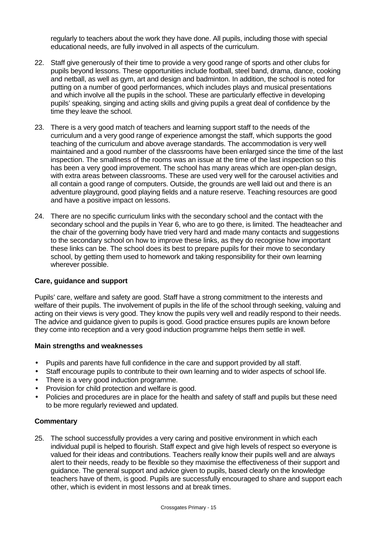regularly to teachers about the work they have done. All pupils, including those with special educational needs, are fully involved in all aspects of the curriculum.

- 22. Staff give generously of their time to provide a very good range of sports and other clubs for pupils beyond lessons. These opportunities include football, steel band, drama, dance, cooking and netball, as well as gym, art and design and badminton. In addition, the school is noted for putting on a number of good performances, which includes plays and musical presentations and which involve all the pupils in the school. These are particularly effective in developing pupils' speaking, singing and acting skills and giving pupils a great deal of confidence by the time they leave the school.
- 23. There is a very good match of teachers and learning support staff to the needs of the curriculum and a very good range of experience amongst the staff, which supports the good teaching of the curriculum and above average standards. The accommodation is very well maintained and a good number of the classrooms have been enlarged since the time of the last inspection. The smallness of the rooms was an issue at the time of the last inspection so this has been a very good improvement. The school has many areas which are open-plan design, with extra areas between classrooms. These are used very well for the carousel activities and all contain a good range of computers. Outside, the grounds are well laid out and there is an adventure playground, good playing fields and a nature reserve. Teaching resources are good and have a positive impact on lessons.
- 24. There are no specific curriculum links with the secondary school and the contact with the secondary school and the pupils in Year 6, who are to go there, is limited. The headteacher and the chair of the governing body have tried very hard and made many contacts and suggestions to the secondary school on how to improve these links, as they do recognise how important these links can be. The school does its best to prepare pupils for their move to secondary school, by getting them used to homework and taking responsibility for their own learning wherever possible.

## **Care, guidance and support**

Pupils' care, welfare and safety are good. Staff have a strong commitment to the interests and welfare of their pupils. The involvement of pupils in the life of the school through seeking, valuing and acting on their views is very good. They know the pupils very well and readily respond to their needs. The advice and guidance given to pupils is good. Good practice ensures pupils are known before they come into reception and a very good induction programme helps them settle in well.

#### **Main strengths and weaknesses**

- Pupils and parents have full confidence in the care and support provided by all staff.
- Staff encourage pupils to contribute to their own learning and to wider aspects of school life.
- There is a very good induction programme.
- Provision for child protection and welfare is good.
- Policies and procedures are in place for the health and safety of staff and pupils but these need to be more regularly reviewed and updated.

## **Commentary**

25. The school successfully provides a very caring and positive environment in which each individual pupil is helped to flourish. Staff expect and give high levels of respect so everyone is valued for their ideas and contributions. Teachers really know their pupils well and are always alert to their needs, ready to be flexible so they maximise the effectiveness of their support and guidance. The general support and advice given to pupils, based clearly on the knowledge teachers have of them, is good. Pupils are successfully encouraged to share and support each other, which is evident in most lessons and at break times.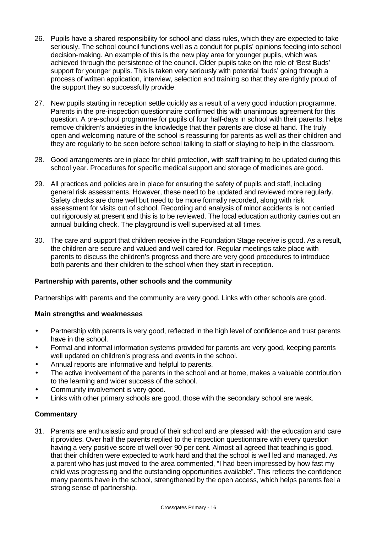- 26. Pupils have a shared responsibility for school and class rules, which they are expected to take seriously. The school council functions well as a conduit for pupils' opinions feeding into school decision-making. An example of this is the new play area for younger pupils, which was achieved through the persistence of the council. Older pupils take on the role of 'Best Buds' support for younger pupils. This is taken very seriously with potential 'buds' going through a process of written application, interview, selection and training so that they are rightly proud of the support they so successfully provide.
- 27. New pupils starting in reception settle quickly as a result of a very good induction programme. Parents in the pre-inspection questionnaire confirmed this with unanimous agreement for this question. A pre-school programme for pupils of four half-days in school with their parents, helps remove children's anxieties in the knowledge that their parents are close at hand. The truly open and welcoming nature of the school is reassuring for parents as well as their children and they are regularly to be seen before school talking to staff or staying to help in the classroom.
- 28. Good arrangements are in place for child protection, with staff training to be updated during this school year. Procedures for specific medical support and storage of medicines are good.
- 29. All practices and policies are in place for ensuring the safety of pupils and staff, including general risk assessments. However, these need to be updated and reviewed more regularly. Safety checks are done well but need to be more formally recorded, along with risk assessment for visits out of school. Recording and analysis of minor accidents is not carried out rigorously at present and this is to be reviewed. The local education authority carries out an annual building check. The playground is well supervised at all times.
- 30. The care and support that children receive in the Foundation Stage receive is good. As a result, the children are secure and valued and well cared for. Regular meetings take place with parents to discuss the children's progress and there are very good procedures to introduce both parents and their children to the school when they start in reception.

## **Partnership with parents, other schools and the community**

Partnerships with parents and the community are very good. Links with other schools are good.

## **Main strengths and weaknesses**

- Partnership with parents is very good, reflected in the high level of confidence and trust parents have in the school.
- Formal and informal information systems provided for parents are very good, keeping parents well updated on children's progress and events in the school.
- Annual reports are informative and helpful to parents.
- The active involvement of the parents in the school and at home, makes a valuable contribution to the learning and wider success of the school.
- Community involvement is very good.
- Links with other primary schools are good, those with the secondary school are weak.

## **Commentary**

31. Parents are enthusiastic and proud of their school and are pleased with the education and care it provides. Over half the parents replied to the inspection questionnaire with every question having a very positive score of well over 90 per cent. Almost all agreed that teaching is good, that their children were expected to work hard and that the school is well led and managed. As a parent who has just moved to the area commented, "I had been impressed by how fast my child was progressing and the outstanding opportunities available". This reflects the confidence many parents have in the school, strengthened by the open access, which helps parents feel a strong sense of partnership.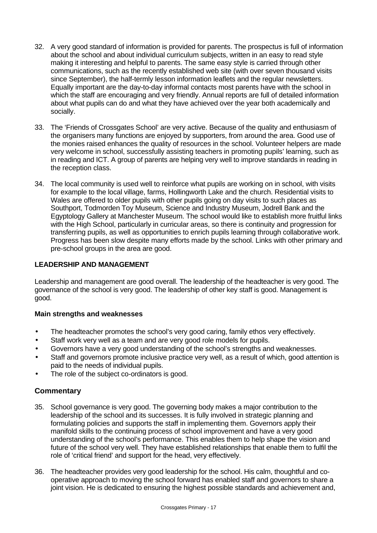- 32. A very good standard of information is provided for parents. The prospectus is full of information about the school and about individual curriculum subjects, written in an easy to read style making it interesting and helpful to parents. The same easy style is carried through other communications, such as the recently established web site (with over seven thousand visits since September), the half-termly lesson information leaflets and the regular newsletters. Equally important are the day-to-day informal contacts most parents have with the school in which the staff are encouraging and very friendly. Annual reports are full of detailed information about what pupils can do and what they have achieved over the year both academically and socially.
- 33. The 'Friends of Crossgates School' are very active. Because of the quality and enthusiasm of the organisers many functions are enjoyed by supporters, from around the area. Good use of the monies raised enhances the quality of resources in the school. Volunteer helpers are made very welcome in school, successfully assisting teachers in promoting pupils' learning, such as in reading and ICT. A group of parents are helping very well to improve standards in reading in the reception class.
- 34. The local community is used well to reinforce what pupils are working on in school, with visits for example to the local village, farms, Hollingworth Lake and the church. Residential visits to Wales are offered to older pupils with other pupils going on day visits to such places as Southport, Todmorden Toy Museum, Science and Industry Museum, Jodrell Bank and the Egyptology Gallery at Manchester Museum. The school would like to establish more fruitful links with the High School, particularly in curricular areas, so there is continuity and progression for transferring pupils, as well as opportunities to enrich pupils learning through collaborative work. Progress has been slow despite many efforts made by the school. Links with other primary and pre-school groups in the area are good.

## **LEADERSHIP AND MANAGEMENT**

Leadership and management are good overall. The leadership of the headteacher is very good. The governance of the school is very good. The leadership of other key staff is good. Management is good.

## **Main strengths and weaknesses**

- The headteacher promotes the school's very good caring, family ethos very effectively.
- Staff work very well as a team and are very good role models for pupils.
- Governors have a very good understanding of the school's strengths and weaknesses.
- Staff and governors promote inclusive practice very well, as a result of which, good attention is paid to the needs of individual pupils.
- The role of the subject co-ordinators is good.

- 35. School governance is very good. The governing body makes a major contribution to the leadership of the school and its successes. It is fully involved in strategic planning and formulating policies and supports the staff in implementing them. Governors apply their manifold skills to the continuing process of school improvement and have a very good understanding of the school's performance. This enables them to help shape the vision and future of the school very well. They have established relationships that enable them to fulfil the role of 'critical friend' and support for the head, very effectively.
- 36. The headteacher provides very good leadership for the school. His calm, thoughtful and cooperative approach to moving the school forward has enabled staff and governors to share a joint vision. He is dedicated to ensuring the highest possible standards and achievement and,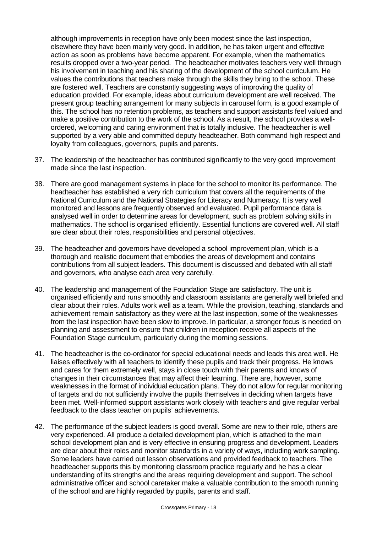although improvements in reception have only been modest since the last inspection, elsewhere they have been mainly very good. In addition, he has taken urgent and effective action as soon as problems have become apparent. For example, when the mathematics results dropped over a two-year period. The headteacher motivates teachers very well through his involvement in teaching and his sharing of the development of the school curriculum. He values the contributions that teachers make through the skills they bring to the school. These are fostered well. Teachers are constantly suggesting ways of improving the quality of education provided. For example, ideas about curriculum development are well received. The present group teaching arrangement for many subjects in carousel form, is a good example of this. The school has no retention problems, as teachers and support assistants feel valued and make a positive contribution to the work of the school. As a result, the school provides a wellordered, welcoming and caring environment that is totally inclusive. The headteacher is well supported by a very able and committed deputy headteacher. Both command high respect and loyalty from colleagues, governors, pupils and parents.

- 37. The leadership of the headteacher has contributed significantly to the very good improvement made since the last inspection.
- 38. There are good management systems in place for the school to monitor its performance. The headteacher has established a very rich curriculum that covers all the requirements of the National Curriculum and the National Strategies for Literacy and Numeracy. It is very well monitored and lessons are frequently observed and evaluated. Pupil performance data is analysed well in order to determine areas for development, such as problem solving skills in mathematics. The school is organised efficiently. Essential functions are covered well. All staff are clear about their roles, responsibilities and personal objectives.
- 39. The headteacher and governors have developed a school improvement plan, which is a thorough and realistic document that embodies the areas of development and contains contributions from all subject leaders. This document is discussed and debated with all staff and governors, who analyse each area very carefully.
- 40. The leadership and management of the Foundation Stage are satisfactory. The unit is organised efficiently and runs smoothly and classroom assistants are generally well briefed and clear about their roles. Adults work well as a team. While the provision, teaching, standards and achievement remain satisfactory as they were at the last inspection, some of the weaknesses from the last inspection have been slow to improve. In particular, a stronger focus is needed on planning and assessment to ensure that children in reception receive all aspects of the Foundation Stage curriculum, particularly during the morning sessions.
- 41. The headteacher is the co-ordinator for special educational needs and leads this area well. He liaises effectively with all teachers to identify these pupils and track their progress. He knows and cares for them extremely well, stays in close touch with their parents and knows of changes in their circumstances that may affect their learning. There are, however, some weaknesses in the format of individual education plans. They do not allow for regular monitoring of targets and do not sufficiently involve the pupils themselves in deciding when targets have been met. Well-informed support assistants work closely with teachers and give regular verbal feedback to the class teacher on pupils' achievements.
- 42. The performance of the subject leaders is good overall. Some are new to their role, others are very experienced. All produce a detailed development plan, which is attached to the main school development plan and is very effective in ensuring progress and development. Leaders are clear about their roles and monitor standards in a variety of ways, including work sampling. Some leaders have carried out lesson observations and provided feedback to teachers. The headteacher supports this by monitoring classroom practice regularly and he has a clear understanding of its strengths and the areas requiring development and support. The school administrative officer and school caretaker make a valuable contribution to the smooth running of the school and are highly regarded by pupils, parents and staff.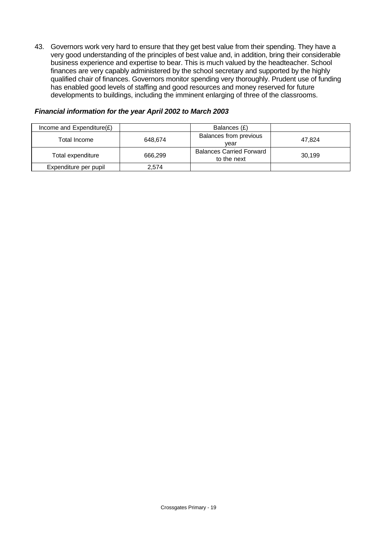43. Governors work very hard to ensure that they get best value from their spending. They have a very good understanding of the principles of best value and, in addition, bring their considerable business experience and expertise to bear. This is much valued by the headteacher. School finances are very capably administered by the school secretary and supported by the highly qualified chair of finances. Governors monitor spending very thoroughly. Prudent use of funding has enabled good levels of staffing and good resources and money reserved for future developments to buildings, including the imminent enlarging of three of the classrooms.

#### $I$  Income and Expenditure $(E)$   $|$  Balances  $(E)$ Total Income **648,674** Balances from previous year 47,824 Total expenditure 666,299 Balances Carried Forward es Gamed Forward<br>to the next 30,199 Expenditure per pupil | 2,574

## *Financial information for the year April 2002 to March 2003*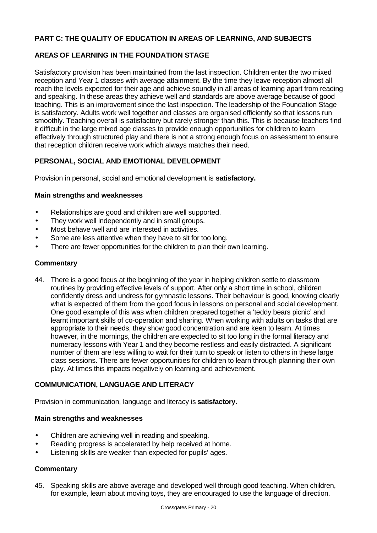## **PART C: THE QUALITY OF EDUCATION IN AREAS OF LEARNING, AND SUBJECTS**

## **AREAS OF LEARNING IN THE FOUNDATION STAGE**

Satisfactory provision has been maintained from the last inspection. Children enter the two mixed reception and Year 1 classes with average attainment. By the time they leave reception almost all reach the levels expected for their age and achieve soundly in all areas of learning apart from reading and speaking. In these areas they achieve well and standards are above average because of good teaching. This is an improvement since the last inspection. The leadership of the Foundation Stage is satisfactory. Adults work well together and classes are organised efficiently so that lessons run smoothly. Teaching overall is satisfactory but rarely stronger than this. This is because teachers find it difficult in the large mixed age classes to provide enough opportunities for children to learn effectively through structured play and there is not a strong enough focus on assessment to ensure that reception children receive work which always matches their need.

## **PERSONAL, SOCIAL AND EMOTIONAL DEVELOPMENT**

Provision in personal, social and emotional development is **satisfactory.**

### **Main strengths and weaknesses**

- Relationships are good and children are well supported.
- They work well independently and in small groups.
- Most behave well and are interested in activities.
- Some are less attentive when they have to sit for too long.
- There are fewer opportunities for the children to plan their own learning.

### **Commentary**

44. There is a good focus at the beginning of the year in helping children settle to classroom routines by providing effective levels of support. After only a short time in school, children confidently dress and undress for gymnastic lessons. Their behaviour is good, knowing clearly what is expected of them from the good focus in lessons on personal and social development. One good example of this was when children prepared together a 'teddy bears picnic' and learnt important skills of co-operation and sharing. When working with adults on tasks that are appropriate to their needs, they show good concentration and are keen to learn. At times however, in the mornings, the children are expected to sit too long in the formal literacy and numeracy lessons with Year 1 and they become restless and easily distracted. A significant number of them are less willing to wait for their turn to speak or listen to others in these large class sessions. There are fewer opportunities for children to learn through planning their own play. At times this impacts negatively on learning and achievement.

## **COMMUNICATION, LANGUAGE AND LITERACY**

Provision in communication, language and literacy is **satisfactory.**

## **Main strengths and weaknesses**

- Children are achieving well in reading and speaking.
- Reading progress is accelerated by help received at home.
- Listening skills are weaker than expected for pupils' ages.

## **Commentary**

45. Speaking skills are above average and developed well through good teaching. When children, for example, learn about moving toys, they are encouraged to use the language of direction.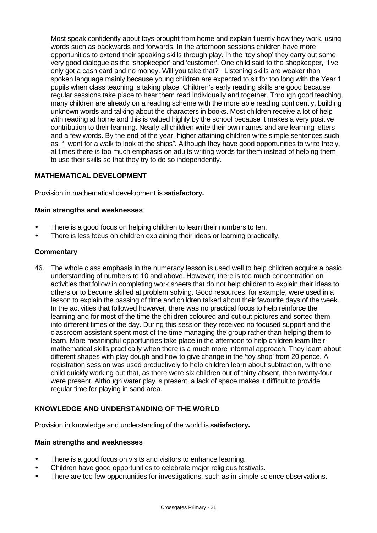Most speak confidently about toys brought from home and explain fluently how they work, using words such as backwards and forwards. In the afternoon sessions children have more opportunities to extend their speaking skills through play. In the 'toy shop' they carry out some very good dialogue as the 'shopkeeper' and 'customer'. One child said to the shopkeeper, "I've only got a cash card and no money. Will you take that?" Listening skills are weaker than spoken language mainly because young children are expected to sit for too long with the Year 1 pupils when class teaching is taking place. Children's early reading skills are good because regular sessions take place to hear them read individually and together. Through good teaching, many children are already on a reading scheme with the more able reading confidently, building unknown words and talking about the characters in books. Most children receive a lot of help with reading at home and this is valued highly by the school because it makes a very positive contribution to their learning. Nearly all children write their own names and are learning letters and a few words. By the end of the year, higher attaining children write simple sentences such as, "I went for a walk to look at the ships". Although they have good opportunities to write freely, at times there is too much emphasis on adults writing words for them instead of helping them to use their skills so that they try to do so independently.

## **MATHEMATICAL DEVELOPMENT**

Provision in mathematical development is **satisfactory.**

### **Main strengths and weaknesses**

- There is a good focus on helping children to learn their numbers to ten.
- There is less focus on children explaining their ideas or learning practically.

### **Commentary**

46. The whole class emphasis in the numeracy lesson is used well to help children acquire a basic understanding of numbers to 10 and above. However, there is too much concentration on activities that follow in completing work sheets that do not help children to explain their ideas to others or to become skilled at problem solving. Good resources, for example, were used in a lesson to explain the passing of time and children talked about their favourite days of the week. In the activities that followed however, there was no practical focus to help reinforce the learning and for most of the time the children coloured and cut out pictures and sorted them into different times of the day. During this session they received no focused support and the classroom assistant spent most of the time managing the group rather than helping them to learn. More meaningful opportunities take place in the afternoon to help children learn their mathematical skills practically when there is a much more informal approach. They learn about different shapes with play dough and how to give change in the 'toy shop' from 20 pence. A registration session was used productively to help children learn about subtraction, with one child quickly working out that, as there were six children out of thirty absent, then twenty-four were present. Although water play is present, a lack of space makes it difficult to provide regular time for playing in sand area.

## **KNOWLEDGE AND UNDERSTANDING OF THE WORLD**

Provision in knowledge and understanding of the world is **satisfactory.**

#### **Main strengths and weaknesses**

- There is a good focus on visits and visitors to enhance learning.
- Children have good opportunities to celebrate major religious festivals.
- There are too few opportunities for investigations, such as in simple science observations.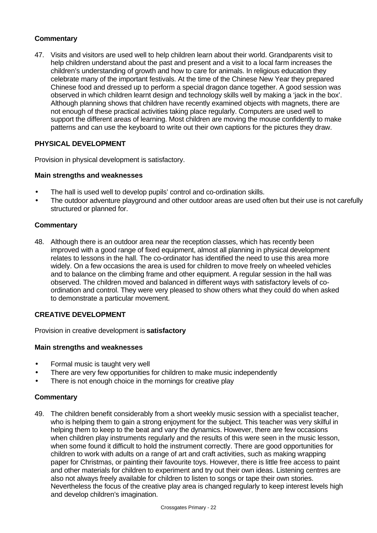## **Commentary**

47. Visits and visitors are used well to help children learn about their world. Grandparents visit to help children understand about the past and present and a visit to a local farm increases the children's understanding of growth and how to care for animals. In religious education they celebrate many of the important festivals. At the time of the Chinese New Year they prepared Chinese food and dressed up to perform a special dragon dance together. A good session was observed in which children learnt design and technology skills well by making a 'jack in the box'. Although planning shows that children have recently examined objects with magnets, there are not enough of these practical activities taking place regularly. Computers are used well to support the different areas of learning. Most children are moving the mouse confidently to make patterns and can use the keyboard to write out their own captions for the pictures they draw.

# **PHYSICAL DEVELOPMENT**

Provision in physical development is satisfactory.

## **Main strengths and weaknesses**

- The hall is used well to develop pupils' control and co-ordination skills.
- The outdoor adventure playground and other outdoor areas are used often but their use is not carefully structured or planned for.

## **Commentary**

48. Although there is an outdoor area near the reception classes, which has recently been improved with a good range of fixed equipment, almost all planning in physical development relates to lessons in the hall. The co-ordinator has identified the need to use this area more widely. On a few occasions the area is used for children to move freely on wheeled vehicles and to balance on the climbing frame and other equipment. A regular session in the hall was observed. The children moved and balanced in different ways with satisfactory levels of coordination and control. They were very pleased to show others what they could do when asked to demonstrate a particular movement.

## **CREATIVE DEVELOPMENT**

Provision in creative development is **satisfactory**

## **Main strengths and weaknesses**

- Formal music is taught very well
- There are very few opportunities for children to make music independently
- There is not enough choice in the mornings for creative play

## **Commentary**

49. The children benefit considerably from a short weekly music session with a specialist teacher, who is helping them to gain a strong enjoyment for the subject. This teacher was very skilful in helping them to keep to the beat and vary the dynamics. However, there are few occasions when children play instruments regularly and the results of this were seen in the music lesson, when some found it difficult to hold the instrument correctly. There are good opportunities for children to work with adults on a range of art and craft activities, such as making wrapping paper for Christmas, or painting their favourite toys. However, there is little free access to paint and other materials for children to experiment and try out their own ideas. Listening centres are also not always freely available for children to listen to songs or tape their own stories. Nevertheless the focus of the creative play area is changed regularly to keep interest levels high and develop children's imagination.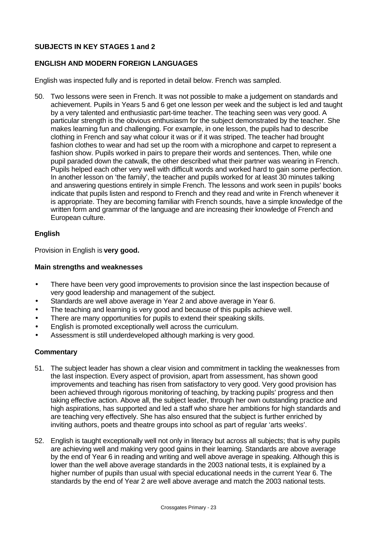## **SUBJECTS IN KEY STAGES 1 and 2**

## **ENGLISH AND MODERN FOREIGN LANGUAGES**

English was inspected fully and is reported in detail below. French was sampled.

50. Two lessons were seen in French. It was not possible to make a judgement on standards and achievement. Pupils in Years 5 and 6 get one lesson per week and the subject is led and taught by a very talented and enthusiastic part-time teacher. The teaching seen was very good. A particular strength is the obvious enthusiasm for the subject demonstrated by the teacher. She makes learning fun and challenging. For example, in one lesson, the pupils had to describe clothing in French and say what colour it was or if it was striped. The teacher had brought fashion clothes to wear and had set up the room with a microphone and carpet to represent a fashion show. Pupils worked in pairs to prepare their words and sentences. Then, while one pupil paraded down the catwalk, the other described what their partner was wearing in French. Pupils helped each other very well with difficult words and worked hard to gain some perfection. In another lesson on 'the family', the teacher and pupils worked for at least 30 minutes talking and answering questions entirely in simple French. The lessons and work seen in pupils' books indicate that pupils listen and respond to French and they read and write in French whenever it is appropriate. They are becoming familiar with French sounds, have a simple knowledge of the written form and grammar of the language and are increasing their knowledge of French and European culture.

## **English**

Provision in English is **very good.**

## **Main strengths and weaknesses**

- There have been very good improvements to provision since the last inspection because of very good leadership and management of the subject.
- Standards are well above average in Year 2 and above average in Year 6.
- The teaching and learning is very good and because of this pupils achieve well.
- There are many opportunities for pupils to extend their speaking skills.
- English is promoted exceptionally well across the curriculum.
- Assessment is still underdeveloped although marking is very good.

- 51. The subject leader has shown a clear vision and commitment in tackling the weaknesses from the last inspection. Every aspect of provision, apart from assessment, has shown good improvements and teaching has risen from satisfactory to very good. Very good provision has been achieved through rigorous monitoring of teaching, by tracking pupils' progress and then taking effective action. Above all, the subject leader, through her own outstanding practice and high aspirations, has supported and led a staff who share her ambitions for high standards and are teaching very effectively. She has also ensured that the subject is further enriched by inviting authors, poets and theatre groups into school as part of regular 'arts weeks'.
- 52. English is taught exceptionally well not only in literacy but across all subjects; that is why pupils are achieving well and making very good gains in their learning. Standards are above average by the end of Year 6 in reading and writing and well above average in speaking. Although this is lower than the well above average standards in the 2003 national tests, it is explained by a higher number of pupils than usual with special educational needs in the current Year 6. The standards by the end of Year 2 are well above average and match the 2003 national tests.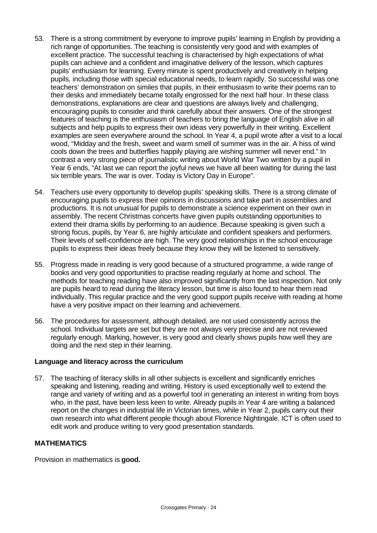- 53. There is a strong commitment by everyone to improve pupils' learning in English by providing a rich range of opportunities. The teaching is consistently very good and with examples of excellent practice. The successful teaching is characterised by high expectations of what pupils can achieve and a confident and imaginative delivery of the lesson, which captures pupils' enthusiasm for learning. Every minute is spent productively and creatively in helping pupils, including those with special educational needs, to learn rapidly. So successful was one teachers' demonstration on similes that pupils, in their enthusiasm to write their poems ran to their desks and immediately became totally engrossed for the next half hour. In these class demonstrations, explanations are clear and questions are always lively and challenging, encouraging pupils to consider and think carefully about their answers. One of the strongest features of teaching is the enthusiasm of teachers to bring the language of English alive in all subjects and help pupils to express their own ideas very powerfully in their writing. Excellent examples are seen everywhere around the school. In Year 4, a pupil wrote after a visit to a local wood, "Midday and the fresh, sweet and warm smell of summer was in the air. A hiss of wind cools down the trees and butterflies happily playing are wishing summer will never end." In contrast a very strong piece of journalistic writing about World War Two written by a pupil in Year 6 ends, "At last we can report the joyful news we have all been waiting for during the last six terrible years. The war is over. Today is Victory Day in Europe".
- 54. Teachers use every opportunity to develop pupils' speaking skills. There is a strong climate of encouraging pupils to express their opinions in discussions and take part in assemblies and productions. It is not unusual for pupils to demonstrate a science experiment on their own in assembly. The recent Christmas concerts have given pupils outstanding opportunities to extend their drama skills by performing to an audience. Because speaking is given such a strong focus, pupils, by Year 6, are highly articulate and confident speakers and performers. Their levels of self-confidence are high. The very good relationships in the school encourage pupils to express their ideas freely because they know they will be listened to sensitively.
- 55. Progress made in reading is very good because of a structured programme, a wide range of books and very good opportunities to practise reading regularly at home and school. The methods for teaching reading have also improved significantly from the last inspection. Not only are pupils heard to read during the literacy lesson, but time is also found to hear them read individually. This regular practice and the very good support pupils receive with reading at home have a very positive impact on their learning and achievement.
- 56. The procedures for assessment, although detailed, are not used consistently across the school. Individual targets are set but they are not always very precise and are not reviewed regularly enough. Marking, however, is very good and clearly shows pupils how well they are doing and the next step in their learning.

## **Language and literacy across the curriculum**

57. The teaching of literacy skills in all other subjects is excellent and significantly enriches speaking and listening, reading and writing. History is used exceptionally well to extend the range and variety of writing and as a powerful tool in generating an interest in writing from boys who, in the past, have been less keen to write. Already pupils in Year 4 are writing a balanced report on the changes in industrial life in Victorian times, while in Year 2, pupils carry out their own research into what different people though about Florence Nightingale. ICT is often used to edit work and produce writing to very good presentation standards.

## **MATHEMATICS**

Provision in mathematics is **good.**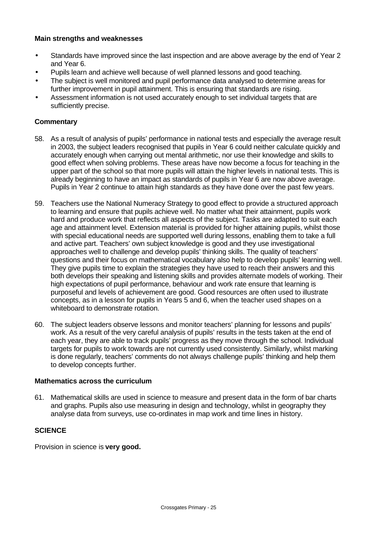### **Main strengths and weaknesses**

- Standards have improved since the last inspection and are above average by the end of Year 2 and Year 6.
- Pupils learn and achieve well because of well planned lessons and good teaching.
- The subject is well monitored and pupil performance data analysed to determine areas for further improvement in pupil attainment. This is ensuring that standards are rising.
- Assessment information is not used accurately enough to set individual targets that are sufficiently precise.

### **Commentary**

- 58. As a result of analysis of pupils' performance in national tests and especially the average result in 2003, the subject leaders recognised that pupils in Year 6 could neither calculate quickly and accurately enough when carrying out mental arithmetic, nor use their knowledge and skills to good effect when solving problems. These areas have now become a focus for teaching in the upper part of the school so that more pupils will attain the higher levels in national tests. This is already beginning to have an impact as standards of pupils in Year 6 are now above average. Pupils in Year 2 continue to attain high standards as they have done over the past few years.
- 59. Teachers use the National Numeracy Strategy to good effect to provide a structured approach to learning and ensure that pupils achieve well. No matter what their attainment, pupils work hard and produce work that reflects all aspects of the subject. Tasks are adapted to suit each age and attainment level. Extension material is provided for higher attaining pupils, whilst those with special educational needs are supported well during lessons, enabling them to take a full and active part. Teachers' own subject knowledge is good and they use investigational approaches well to challenge and develop pupils' thinking skills. The quality of teachers' questions and their focus on mathematical vocabulary also help to develop pupils' learning well. They give pupils time to explain the strategies they have used to reach their answers and this both develops their speaking and listening skills and provides alternate models of working. Their high expectations of pupil performance, behaviour and work rate ensure that learning is purposeful and levels of achievement are good. Good resources are often used to illustrate concepts, as in a lesson for pupils in Years 5 and 6, when the teacher used shapes on a whiteboard to demonstrate rotation.
- 60. The subject leaders observe lessons and monitor teachers' planning for lessons and pupils' work. As a result of the very careful analysis of pupils' results in the tests taken at the end of each year, they are able to track pupils' progress as they move through the school. Individual targets for pupils to work towards are not currently used consistently. Similarly, whilst marking is done regularly, teachers' comments do not always challenge pupils' thinking and help them to develop concepts further.

### **Mathematics across the curriculum**

61. Mathematical skills are used in science to measure and present data in the form of bar charts and graphs. Pupils also use measuring in design and technology, whilst in geography they analyse data from surveys, use co-ordinates in map work and time lines in history.

## **SCIENCE**

Provision in science is **very good.**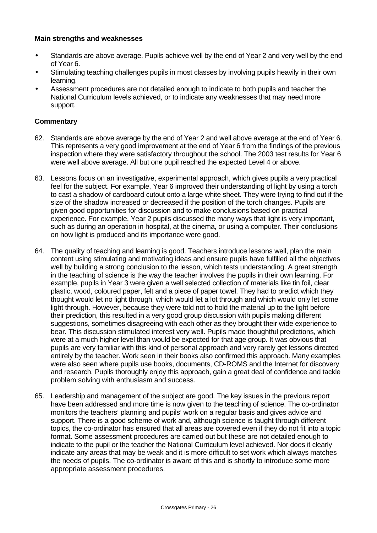### **Main strengths and weaknesses**

- Standards are above average. Pupils achieve well by the end of Year 2 and very well by the end of Year 6.
- Stimulating teaching challenges pupils in most classes by involving pupils heavily in their own learning.
- Assessment procedures are not detailed enough to indicate to both pupils and teacher the National Curriculum levels achieved, or to indicate any weaknesses that may need more support.

- 62. Standards are above average by the end of Year 2 and well above average at the end of Year 6. This represents a very good improvement at the end of Year 6 from the findings of the previous inspection where they were satisfactory throughout the school. The 2003 test results for Year 6 were well above average. All but one pupil reached the expected Level 4 or above.
- 63. Lessons focus on an investigative, experimental approach, which gives pupils a very practical feel for the subject. For example, Year 6 improved their understanding of light by using a torch to cast a shadow of cardboard cutout onto a large white sheet. They were trying to find out if the size of the shadow increased or decreased if the position of the torch changes. Pupils are given good opportunities for discussion and to make conclusions based on practical experience. For example, Year 2 pupils discussed the many ways that light is very important, such as during an operation in hospital, at the cinema, or using a computer. Their conclusions on how light is produced and its importance were good.
- 64. The quality of teaching and learning is good. Teachers introduce lessons well, plan the main content using stimulating and motivating ideas and ensure pupils have fulfilled all the objectives well by building a strong conclusion to the lesson, which tests understanding. A great strength in the teaching of science is the way the teacher involves the pupils in their own learning. For example, pupils in Year 3 were given a well selected collection of materials like tin foil, clear plastic, wood, coloured paper, felt and a piece of paper towel. They had to predict which they thought would let no light through, which would let a lot through and which would only let some light through. However, because they were told not to hold the material up to the light before their prediction, this resulted in a very good group discussion with pupils making different suggestions, sometimes disagreeing with each other as they brought their wide experience to bear. This discussion stimulated interest very well. Pupils made thoughtful predictions, which were at a much higher level than would be expected for that age group. It was obvious that pupils are very familiar with this kind of personal approach and very rarely get lessons directed entirely by the teacher. Work seen in their books also confirmed this approach. Many examples were also seen where pupils use books, documents, CD-ROMS and the Internet for discovery and research. Pupils thoroughly enjoy this approach, gain a great deal of confidence and tackle problem solving with enthusiasm and success.
- 65. Leadership and management of the subject are good. The key issues in the previous report have been addressed and more time is now given to the teaching of science. The co-ordinator monitors the teachers' planning and pupils' work on a regular basis and gives advice and support. There is a good scheme of work and, although science is taught through different topics, the co-ordinator has ensured that all areas are covered even if they do not fit into a topic format. Some assessment procedures are carried out but these are not detailed enough to indicate to the pupil or the teacher the National Curriculum level achieved. Nor does it clearly indicate any areas that may be weak and it is more difficult to set work which always matches the needs of pupils. The co-ordinator is aware of this and is shortly to introduce some more appropriate assessment procedures.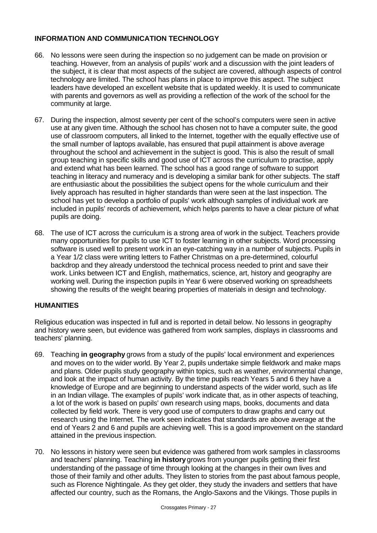## **INFORMATION AND COMMUNICATION TECHNOLOGY**

- 66. No lessons were seen during the inspection so no judgement can be made on provision or teaching. However, from an analysis of pupils' work and a discussion with the joint leaders of the subject, it is clear that most aspects of the subject are covered, although aspects of control technology are limited. The school has plans in place to improve this aspect. The subject leaders have developed an excellent website that is updated weekly. It is used to communicate with parents and governors as well as providing a reflection of the work of the school for the community at large.
- 67. During the inspection, almost seventy per cent of the school's computers were seen in active use at any given time. Although the school has chosen not to have a computer suite, the good use of classroom computers, all linked to the Internet, together with the equally effective use of the small number of laptops available, has ensured that pupil attainment is above average throughout the school and achievement in the subject is good. This is also the result of small group teaching in specific skills and good use of ICT across the curriculum to practise, apply and extend what has been learned. The school has a good range of software to support teaching in literacy and numeracy and is developing a similar bank for other subjects. The staff are enthusiastic about the possibilities the subject opens for the whole curriculum and their lively approach has resulted in higher standards than were seen at the last inspection. The school has yet to develop a portfolio of pupils' work although samples of individual work are included in pupils' records of achievement, which helps parents to have a clear picture of what pupils are doing.
- 68. The use of ICT across the curriculum is a strong area of work in the subject. Teachers provide many opportunities for pupils to use ICT to foster learning in other subjects. Word processing software is used well to present work in an eye-catching way in a number of subjects. Pupils in a Year 1/2 class were writing letters to Father Christmas on a pre-determined, colourful backdrop and they already understood the technical process needed to print and save their work. Links between ICT and English, mathematics, science, art, history and geography are working well. During the inspection pupils in Year 6 were observed working on spreadsheets showing the results of the weight bearing properties of materials in design and technology.

## **HUMANITIES**

Religious education was inspected in full and is reported in detail below. No lessons in geography and history were seen, but evidence was gathered from work samples, displays in classrooms and teachers' planning.

- 69. Teaching **in geography** grows from a study of the pupils' local environment and experiences and moves on to the wider world. By Year 2, pupils undertake simple fieldwork and make maps and plans. Older pupils study geography within topics, such as weather, environmental change, and look at the impact of human activity. By the time pupils reach Years 5 and 6 they have a knowledge of Europe and are beginning to understand aspects of the wider world, such as life in an Indian village. The examples of pupils' work indicate that, as in other aspects of teaching, a lot of the work is based on pupils' own research using maps, books, documents and data collected by field work. There is very good use of computers to draw graphs and carry out research using the Internet. The work seen indicates that standards are above average at the end of Years 2 and 6 and pupils are achieving well. This is a good improvement on the standard attained in the previous inspection.
- 70. No lessons in history were seen but evidence was gathered from work samples in classrooms and teachers' planning. Teaching **in history** grows from younger pupils getting their first understanding of the passage of time through looking at the changes in their own lives and those of their family and other adults. They listen to stories from the past about famous people, such as Florence Nightingale. As they get older, they study the invaders and settlers that have affected our country, such as the Romans, the Anglo-Saxons and the Vikings. Those pupils in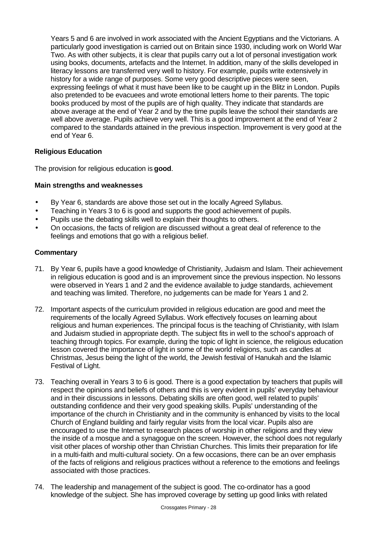Years 5 and 6 are involved in work associated with the Ancient Egyptians and the Victorians. A particularly good investigation is carried out on Britain since 1930, including work on World War Two. As with other subjects, it is clear that pupils carry out a lot of personal investigation work using books, documents, artefacts and the Internet. In addition, many of the skills developed in literacy lessons are transferred very well to history. For example, pupils write extensively in history for a wide range of purposes. Some very good descriptive pieces were seen, expressing feelings of what it must have been like to be caught up in the Blitz in London. Pupils also pretended to be evacuees and wrote emotional letters home to their parents. The topic books produced by most of the pupils are of high quality. They indicate that standards are above average at the end of Year 2 and by the time pupils leave the school their standards are well above average. Pupils achieve very well. This is a good improvement at the end of Year 2 compared to the standards attained in the previous inspection. Improvement is very good at the end of Year 6.

## **Religious Education**

The provision for religious education is **good**.

## **Main strengths and weaknesses**

- By Year 6, standards are above those set out in the locally Agreed Syllabus.
- Teaching in Years 3 to 6 is good and supports the good achievement of pupils.
- Pupils use the debating skills well to explain their thoughts to others.
- On occasions, the facts of religion are discussed without a great deal of reference to the feelings and emotions that go with a religious belief.

- 71. By Year 6, pupils have a good knowledge of Christianity, Judaism and Islam. Their achievement in religious education is good and is an improvement since the previous inspection. No lessons were observed in Years 1 and 2 and the evidence available to judge standards, achievement and teaching was limited. Therefore, no judgements can be made for Years 1 and 2.
- 72. Important aspects of the curriculum provided in religious education are good and meet the requirements of the locally Agreed Syllabus. Work effectively focuses on learning about religious and human experiences. The principal focus is the teaching of Christianity, with Islam and Judaism studied in appropriate depth. The subject fits in well to the school's approach of teaching through topics. For example, during the topic of light in science, the religious education lesson covered the importance of light in some of the world religions, such as candles at Christmas, Jesus being the light of the world, the Jewish festival of Hanukah and the Islamic Festival of Light.
- 73. Teaching overall in Years 3 to 6 is good. There is a good expectation by teachers that pupils will respect the opinions and beliefs of others and this is very evident in pupils' everyday behaviour and in their discussions in lessons. Debating skills are often good, well related to pupils' outstanding confidence and their very good speaking skills. Pupils' understanding of the importance of the church in Christianity and in the community is enhanced by visits to the local Church of England building and fairly regular visits from the local vicar. Pupils also are encouraged to use the Internet to research places of worship in other religions and they view the inside of a mosque and a synagogue on the screen. However, the school does not regularly visit other places of worship other than Christian Churches. This limits their preparation for life in a multi-faith and multi-cultural society. On a few occasions, there can be an over emphasis of the facts of religions and religious practices without a reference to the emotions and feelings associated with those practices.
- 74. The leadership and management of the subject is good. The co-ordinator has a good knowledge of the subject. She has improved coverage by setting up good links with related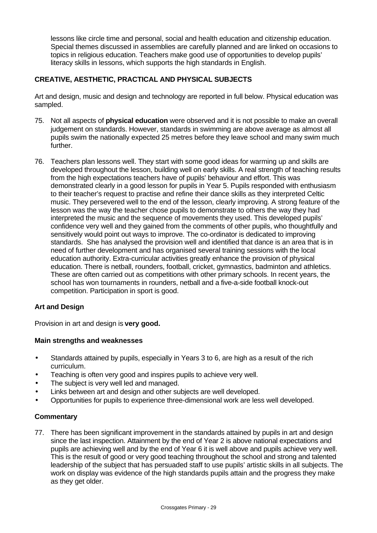lessons like circle time and personal, social and health education and citizenship education. Special themes discussed in assemblies are carefully planned and are linked on occasions to topics in religious education. Teachers make good use of opportunities to develop pupils' literacy skills in lessons, which supports the high standards in English.

## **CREATIVE, AESTHETIC, PRACTICAL AND PHYSICAL SUBJECTS**

Art and design, music and design and technology are reported in full below. Physical education was sampled.

- 75. Not all aspects of **physical education** were observed and it is not possible to make an overall judgement on standards. However, standards in swimming are above average as almost all pupils swim the nationally expected 25 metres before they leave school and many swim much further.
- 76. Teachers plan lessons well. They start with some good ideas for warming up and skills are developed throughout the lesson, building well on early skills. A real strength of teaching results from the high expectations teachers have of pupils' behaviour and effort. This was demonstrated clearly in a good lesson for pupils in Year 5. Pupils responded with enthusiasm to their teacher's request to practise and refine their dance skills as they interpreted Celtic music. They persevered well to the end of the lesson, clearly improving. A strong feature of the lesson was the way the teacher chose pupils to demonstrate to others the way they had interpreted the music and the sequence of movements they used. This developed pupils' confidence very well and they gained from the comments of other pupils, who thoughtfully and sensitively would point out ways to improve. The co-ordinator is dedicated to improving standards. She has analysed the provision well and identified that dance is an area that is in need of further development and has organised several training sessions with the local education authority. Extra-curricular activities greatly enhance the provision of physical education. There is netball, rounders, football, cricket, gymnastics, badminton and athletics. These are often carried out as competitions with other primary schools. In recent years, the school has won tournaments in rounders, netball and a five-a-side football knock-out competition. Participation in sport is good.

## **Art and Design**

Provision in art and design is **very good.**

## **Main strengths and weaknesses**

- Standards attained by pupils, especially in Years 3 to 6, are high as a result of the rich curriculum.
- Teaching is often very good and inspires pupils to achieve very well.
- The subject is very well led and managed.
- Links between art and design and other subjects are well developed.
- Opportunities for pupils to experience three-dimensional work are less well developed.

## **Commentary**

77. There has been significant improvement in the standards attained by pupils in art and design since the last inspection. Attainment by the end of Year 2 is above national expectations and pupils are achieving well and by the end of Year 6 it is well above and pupils achieve very well. This is the result of good or very good teaching throughout the school and strong and talented leadership of the subject that has persuaded staff to use pupils' artistic skills in all subjects. The work on display was evidence of the high standards pupils attain and the progress they make as they get older.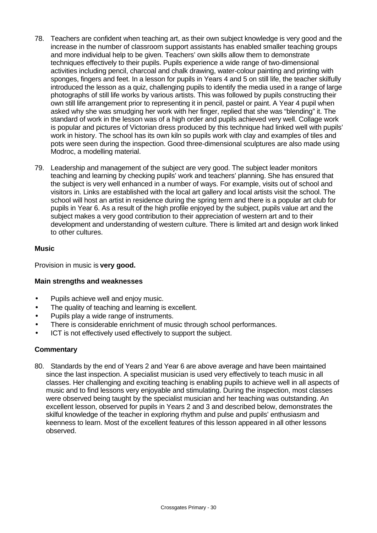- 78. Teachers are confident when teaching art, as their own subject knowledge is very good and the increase in the number of classroom support assistants has enabled smaller teaching groups and more individual help to be given. Teachers' own skills allow them to demonstrate techniques effectively to their pupils. Pupils experience a wide range of two-dimensional activities including pencil, charcoal and chalk drawing, water-colour painting and printing with sponges, fingers and feet. In a lesson for pupils in Years 4 and 5 on still life, the teacher skilfully introduced the lesson as a quiz, challenging pupils to identify the media used in a range of large photographs of still life works by various artists. This was followed by pupils constructing their own still life arrangement prior to representing it in pencil, pastel or paint. A Year 4 pupil when asked why she was smudging her work with her finger, replied that she was "blending" it. The standard of work in the lesson was of a high order and pupils achieved very well. Collage work is popular and pictures of Victorian dress produced by this technique had linked well with pupils' work in history. The school has its own kiln so pupils work with clay and examples of tiles and pots were seen during the inspection. Good three-dimensional sculptures are also made using Modroc, a modelling material.
- 79. Leadership and management of the subject are very good. The subject leader monitors teaching and learning by checking pupils' work and teachers' planning. She has ensured that the subject is very well enhanced in a number of ways. For example, visits out of school and visitors in. Links are established with the local art gallery and local artists visit the school. The school will host an artist in residence during the spring term and there is a popular art club for pupils in Year 6. As a result of the high profile enjoyed by the subject, pupils value art and the subject makes a very good contribution to their appreciation of western art and to their development and understanding of western culture. There is limited art and design work linked to other cultures.

## **Music**

Provision in music is **very good.**

## **Main strengths and weaknesses**

- Pupils achieve well and enjoy music.
- The quality of teaching and learning is excellent.
- Pupils play a wide range of instruments.
- There is considerable enrichment of music through school performances.
- ICT is not effectively used effectively to support the subject.

## **Commentary**

80. Standards by the end of Years 2 and Year 6 are above average and have been maintained since the last inspection. A specialist musician is used very effectively to teach music in all classes. Her challenging and exciting teaching is enabling pupils to achieve well in all aspects of music and to find lessons very enjoyable and stimulating. During the inspection, most classes were observed being taught by the specialist musician and her teaching was outstanding. An excellent lesson, observed for pupils in Years 2 and 3 and described below, demonstrates the skilful knowledge of the teacher in exploring rhythm and pulse and pupils' enthusiasm and keenness to learn. Most of the excellent features of this lesson appeared in all other lessons observed.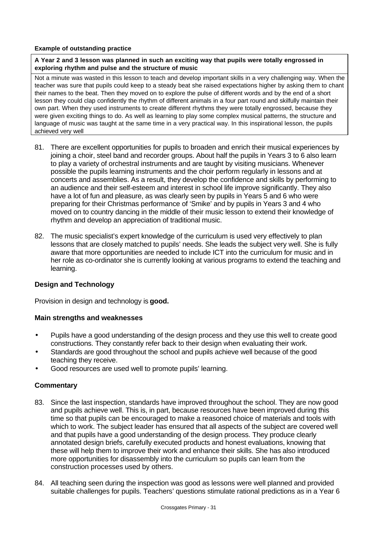#### **Example of outstanding practice**

**A Year 2 and 3 lesson was planned in such an exciting way that pupils were totally engrossed in exploring rhythm and pulse and the structure of music**

Not a minute was wasted in this lesson to teach and develop important skills in a very challenging way. When the teacher was sure that pupils could keep to a steady beat she raised expectations higher by asking them to chant their names to the beat. Then they moved on to explore the pulse of different words and by the end of a short lesson they could clap confidently the rhythm of different animals in a four part round and skilfully maintain their own part. When they used instruments to create different rhythms they were totally engrossed, because they were given exciting things to do. As well as learning to play some complex musical patterns, the structure and language of music was taught at the same time in a very practical way. In this inspirational lesson, the pupils achieved very well

- 81. There are excellent opportunities for pupils to broaden and enrich their musical experiences by joining a choir, steel band and recorder groups. About half the pupils in Years 3 to 6 also learn to play a variety of orchestral instruments and are taught by visiting musicians. Whenever possible the pupils learning instruments and the choir perform regularly in lessons and at concerts and assemblies. As a result, they develop the confidence and skills by performing to an audience and their self-esteem and interest in school life improve significantly. They also have a lot of fun and pleasure, as was clearly seen by pupils in Years 5 and 6 who were preparing for their Christmas performance of 'Smike' and by pupils in Years 3 and 4 who moved on to country dancing in the middle of their music lesson to extend their knowledge of rhythm and develop an appreciation of traditional music.
- 82. The music specialist's expert knowledge of the curriculum is used very effectively to plan lessons that are closely matched to pupils' needs. She leads the subject very well. She is fully aware that more opportunities are needed to include ICT into the curriculum for music and in her role as co-ordinator she is currently looking at various programs to extend the teaching and learning.

## **Design and Technology**

Provision in design and technology is **good.**

## **Main strengths and weaknesses**

- Pupils have a good understanding of the design process and they use this well to create good constructions. They constantly refer back to their design when evaluating their work.
- Standards are good throughout the school and pupils achieve well because of the good teaching they receive.
- Good resources are used well to promote pupils' learning.

- 83. Since the last inspection, standards have improved throughout the school. They are now good and pupils achieve well. This is, in part, because resources have been improved during this time so that pupils can be encouraged to make a reasoned choice of materials and tools with which to work. The subject leader has ensured that all aspects of the subject are covered well and that pupils have a good understanding of the design process. They produce clearly annotated design briefs, carefully executed products and honest evaluations, knowing that these will help them to improve their work and enhance their skills. She has also introduced more opportunities for disassembly into the curriculum so pupils can learn from the construction processes used by others.
- 84. All teaching seen during the inspection was good as lessons were well planned and provided suitable challenges for pupils. Teachers' questions stimulate rational predictions as in a Year 6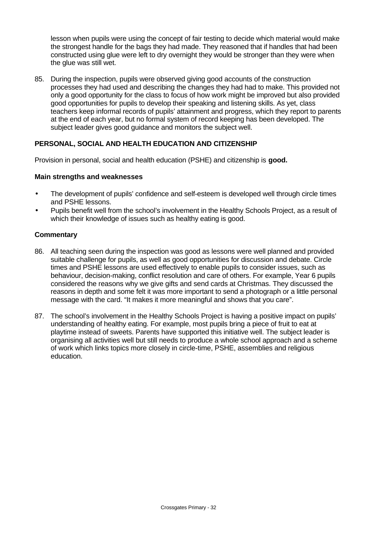lesson when pupils were using the concept of fair testing to decide which material would make the strongest handle for the bags they had made. They reasoned that if handles that had been constructed using glue were left to dry overnight they would be stronger than they were when the glue was still wet.

85. During the inspection, pupils were observed giving good accounts of the construction processes they had used and describing the changes they had had to make. This provided not only a good opportunity for the class to focus of how work might be improved but also provided good opportunities for pupils to develop their speaking and listening skills. As yet, class teachers keep informal records of pupils' attainment and progress, which they report to parents at the end of each year, but no formal system of record keeping has been developed. The subject leader gives good guidance and monitors the subject well.

## **PERSONAL, SOCIAL AND HEALTH EDUCATION AND CITIZENSHIP**

Provision in personal, social and health education (PSHE) and citizenship is **good.**

## **Main strengths and weaknesses**

- The development of pupils' confidence and self-esteem is developed well through circle times and PSHE lessons.
- Pupils benefit well from the school's involvement in the Healthy Schools Project, as a result of which their knowledge of issues such as healthy eating is good.

- 86. All teaching seen during the inspection was good as lessons were well planned and provided suitable challenge for pupils, as well as good opportunities for discussion and debate. Circle times and PSHE lessons are used effectively to enable pupils to consider issues, such as behaviour, decision-making, conflict resolution and care of others. For example, Year 6 pupils considered the reasons why we give gifts and send cards at Christmas. They discussed the reasons in depth and some felt it was more important to send a photograph or a little personal message with the card. "It makes it more meaningful and shows that you care".
- 87. The school's involvement in the Healthy Schools Project is having a positive impact on pupils' understanding of healthy eating. For example, most pupils bring a piece of fruit to eat at playtime instead of sweets. Parents have supported this initiative well. The subject leader is organising all activities well but still needs to produce a whole school approach and a scheme of work which links topics more closely in circle-time, PSHE, assemblies and religious education.